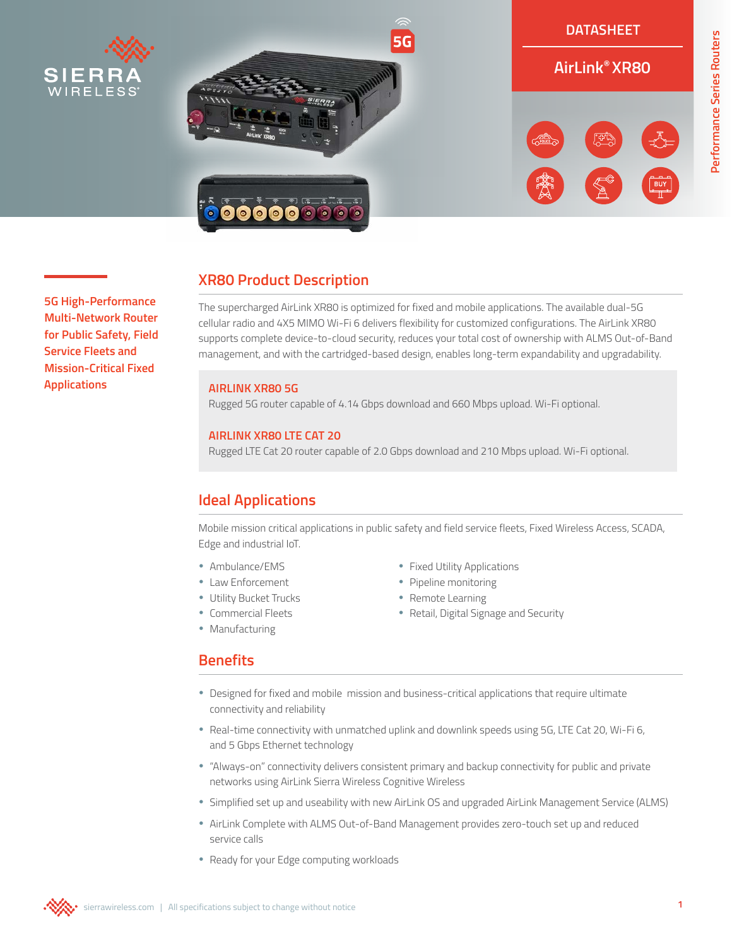

**5G High-Performance Multi-Network Router for Public Safety, Field Service Fleets and Mission-Critical Fixed** 

**Applications**



**Performance Series Routers**

Performance Series Routers

# **XR80 Product Description**

The supercharged AirLink XR80 is optimized for fixed and mobile applications. The available dual-5G cellular radio and 4X5 MIMO Wi-Fi 6 delivers flexibility for customized configurations. The AirLink XR80 supports complete device-to-cloud security, reduces your total cost of ownership with ALMS Out-of-Band management, and with the cartridged-based design, enables long-term expandability and upgradability.

### **AIRLINK XR80 5G**

Rugged 5G router capable of 4.14 Gbps download and 660 Mbps upload. Wi-Fi optional.

### **AIRLINK XR80 LTE CAT 20**

Rugged LTE Cat 20 router capable of 2.0 Gbps download and 210 Mbps upload. Wi-Fi optional.

# **Ideal Applications**

Mobile mission critical applications in public safety and field service fleets, Fixed Wireless Access, SCADA, Edge and industrial IoT.

- Ambulance/EMS
- Law Enforcement
- Utility Bucket Trucks
- Commercial Fleets
- Manufacturing
- Fixed Utility Applications
- Pipeline monitoring
- Remote Learning
- Retail, Digital Signage and Security

## **Benefits**

- Designed for fixed and mobile mission and business-critical applications that require ultimate connectivity and reliability
- Real-time connectivity with unmatched uplink and downlink speeds using 5G, LTE Cat 20, Wi-Fi 6, and 5 Gbps Ethernet technology
- "Always-on" connectivity delivers consistent primary and backup connectivity for public and private networks using AirLink Sierra Wireless Cognitive Wireless
- Simplified set up and useability with new AirLink OS and upgraded AirLink Management Service (ALMS)
- AirLink Complete with ALMS Out-of-Band Management provides zero-touch set up and reduced service calls
- Ready for your Edge computing workloads

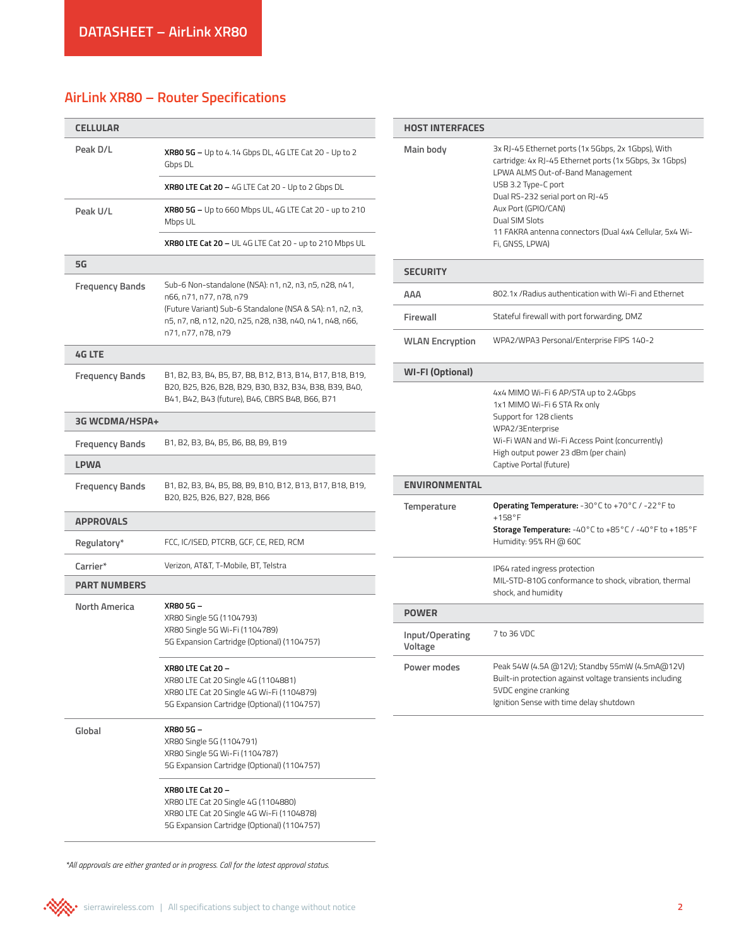## **AirLink XR80 – Router Specifications**

| <b>CELLULAR</b>        |                                                                                                                                                                                                                                 |  |  |
|------------------------|---------------------------------------------------------------------------------------------------------------------------------------------------------------------------------------------------------------------------------|--|--|
| Peak D/L               | <b>XR80 5G</b> – Up to 4.14 Gbps DL, 4G LTE Cat 20 - Up to 2<br>Gbps DL                                                                                                                                                         |  |  |
|                        | <b>XR80 LTE Cat 20 –</b> 4G LTE Cat 20 - Up to 2 Gbps DL                                                                                                                                                                        |  |  |
| Peak U/L               | XR80 5G - Up to 660 Mbps UL, 4G LTE Cat 20 - up to 210<br>Mbps UL                                                                                                                                                               |  |  |
|                        | <b>XR80 LTE Cat 20 - UL 4G LTE Cat 20 - up to 210 Mbps UL</b>                                                                                                                                                                   |  |  |
| 5G                     |                                                                                                                                                                                                                                 |  |  |
| Frequency Bands        | Sub-6 Non-standalone (NSA): n1, n2, n3, n5, n28, n41,<br>n66, n71, n77, n78, n79<br>(Future Variant) Sub-6 Standalone (NSA & SA): n1, n2, n3,<br>n5, n7, n8, n12, n20, n25, n28, n38, n40, n41, n48, n66,<br>n71, n77, n78, n79 |  |  |
| <b>4G LTE</b>          |                                                                                                                                                                                                                                 |  |  |
| <b>Frequency Bands</b> | B1, B2, B3, B4, B5, B7, B8, B12, B13, B14, B17, B18, B19,<br>B20, B25, B26, B28, B29, B30, B32, B34, B38, B39, B40,<br>B41, B42, B43 (future), B46, CBRS B48, B66, B71                                                          |  |  |
| <b>3G WCDMA/HSPA+</b>  |                                                                                                                                                                                                                                 |  |  |
| <b>Frequency Bands</b> | B1, B2, B3, B4, B5, B6, B8, B9, B19                                                                                                                                                                                             |  |  |
| <b>LPWA</b>            |                                                                                                                                                                                                                                 |  |  |
| <b>Frequency Bands</b> | B1, B2, B3, B4, B5, B8, B9, B10, B12, B13, B17, B18, B19,<br>B20, B25, B26, B27, B28, B66                                                                                                                                       |  |  |
| <b>APPROVALS</b>       |                                                                                                                                                                                                                                 |  |  |
| Regulatory*            | FCC, IC/ISED, PTCRB, GCF, CE, RED, RCM                                                                                                                                                                                          |  |  |
| Carrier*               | Verizon, AT&T, T-Mobile, BT, Telstra                                                                                                                                                                                            |  |  |
| <b>PART NUMBERS</b>    |                                                                                                                                                                                                                                 |  |  |
| North America          | XR80 5G -<br>XR80 Single 5G (1104793)<br>XR80 Single 5G Wi-Fi (1104789)<br>5G Expansion Cartridge (Optional) (1104757)                                                                                                          |  |  |
|                        | <b>XR80 LTE Cat 20 -</b><br>XR80 LTE Cat 20 Single 4G (1104881)<br>XR80 LTE Cat 20 Single 4G Wi-Fi (1104879)<br>5G Expansion Cartridge (Optional) (1104757)                                                                     |  |  |
| Global                 | XR80 5G –<br>XR80 Single 5G (1104791)<br>XR80 Single 5G Wi-Fi (1104787)<br>5G Expansion Cartridge (Optional) (1104757)                                                                                                          |  |  |
|                        | <b>XR80 LTE Cat 20 -</b><br>XR80 LTE Cat 20 Single 4G (1104880)                                                                                                                                                                 |  |  |

XR80 LTE Cat 20 Single 4G Wi-Fi (1104878) 5G Expansion Cartridge (Optional) (1104757) **HOST INTERFACES Main body** 3x RJ-45 Ethernet ports (1x 5Gbps, 2x 1Gbps), With cartridge: 4x RJ-45 Ethernet ports (1x 5Gbps, 3x 1Gbps) LPWA ALMS Out-of-Band Management USB 3.2 Type-C port Dual RS-232 serial port on RJ-45 Aux Port (GPIO/CAN) Dual SIM Slots 11 FAKRA antenna connectors (Dual 4x4 Cellular, 5x4 Wi-Fi, GNSS, LPWA) **SECURITY AAA** 802.1x /Radius authentication with Wi-Fi and Ethernet **Firewall** Stateful firewall with port forwarding, DMZ **WLAN Encryption** WPA2/WPA3 Personal/Enterprise FIPS 140-2 **WI-FI (Optional)** 4x4 MIMO Wi-Fi 6 AP/STA up to 2.4Gbps 1x1 MIMO Wi-Fi 6 STA Rx only Support for 128 clients WPA2/3Enterprise

High output power 23 dBm (per chain) Captive Portal (future) **ENVIRONMENTAL Temperature Operating Temperature:** -30°C to +70°C / -22°F to +158°F **Storage Temperature:** -40°C to +85°C / -40°F to +185°F Humidity: 95% RH @ 60C IP64 rated ingress protection MIL-STD-810G conformance to shock, vibration, thermal shock, and humidity **POWER Input/Operating Voltage** 7 to 36 VDC **Power modes** Peak 54W (4.5A @12V); Standby 55mW (4.5mA@12V) Built-in protection against voltage transients including 5VDC engine cranking Ignition Sense with time delay shutdown

Wi-Fi WAN and Wi-Fi Access Point (concurrently)

*\*All approvals are either granted or in progress. Call for the latest approval status.*

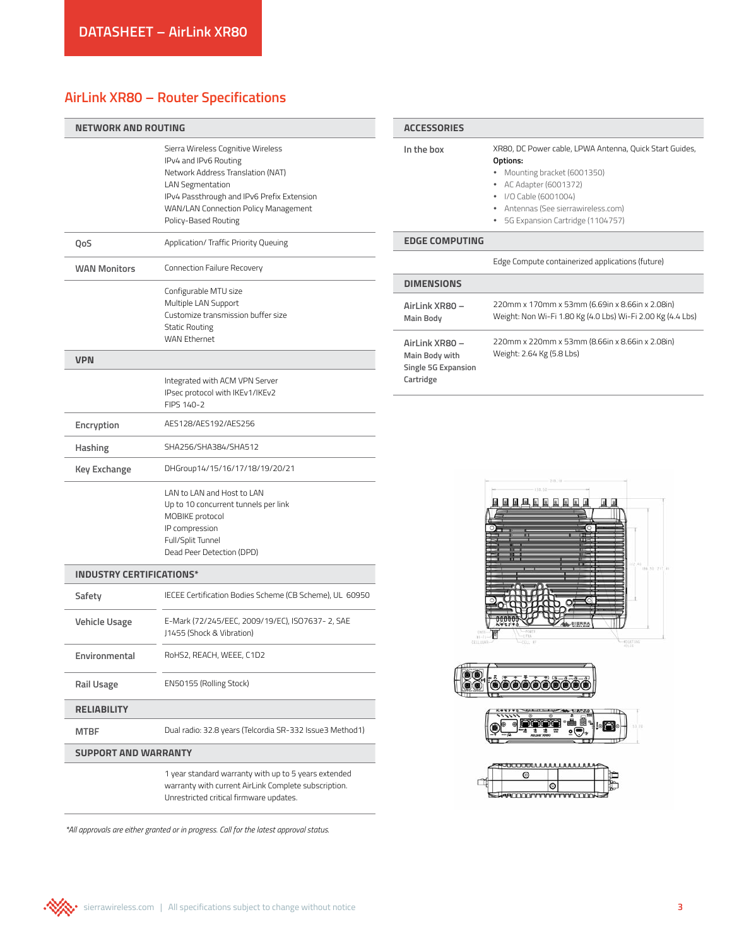# **AirLink XR80 – Router Specifications**

| <b>NETWORK AND ROUTING</b>      |                                                                                                                                                                                                                                           | <b>ACCESSORIES</b>                                                   |                                                                                                                                                                                                                                                                                                                                                                                                                                                                                                                                                       |
|---------------------------------|-------------------------------------------------------------------------------------------------------------------------------------------------------------------------------------------------------------------------------------------|----------------------------------------------------------------------|-------------------------------------------------------------------------------------------------------------------------------------------------------------------------------------------------------------------------------------------------------------------------------------------------------------------------------------------------------------------------------------------------------------------------------------------------------------------------------------------------------------------------------------------------------|
|                                 | Sierra Wireless Cognitive Wireless<br>IPv4 and IPv6 Routing<br>Network Address Translation (NAT)<br><b>LAN Segmentation</b><br>IPv4 Passthrough and IPv6 Prefix Extension<br>WAN/LAN Connection Policy Management<br>Policy-Based Routing | In the box                                                           | XR80, DC Power cable, LPWA Antenna, Quick Start Guides,<br>Options:<br>• Mounting bracket (6001350)<br>• AC Adapter (6001372)<br>I/O Cable (6001004)<br>• Antennas (See sierrawireless.com)<br>• 5G Expansion Cartridge (1104757)                                                                                                                                                                                                                                                                                                                     |
| QoS                             | Application/ Traffic Priority Queuing                                                                                                                                                                                                     | <b>EDGE COMPUTING</b>                                                |                                                                                                                                                                                                                                                                                                                                                                                                                                                                                                                                                       |
| <b>WAN Monitors</b>             | Connection Failure Recovery                                                                                                                                                                                                               |                                                                      | Edge Compute containerized applications (future)                                                                                                                                                                                                                                                                                                                                                                                                                                                                                                      |
|                                 | Configurable MTU size<br>Multiple LAN Support<br>Customize transmission buffer size<br><b>Static Routing</b>                                                                                                                              | <b>DIMENSIONS</b><br>AirLink XR80 -<br><b>Main Body</b>              | 220mm x 170mm x 53mm (6.69in x 8.66in x 2.08in)<br>Weight: Non Wi-Fi 1.80 Kg (4.0 Lbs) Wi-Fi 2.00 Kg (4.4 Lbs)                                                                                                                                                                                                                                                                                                                                                                                                                                        |
| <b>VPN</b>                      | WAN Ethernet<br>Integrated with ACM VPN Server                                                                                                                                                                                            | AirLink XR80 -<br>Main Body with<br>Single 5G Expansion<br>Cartridge | 220mm x 220mm x 53mm (8.66in x 8.66in x 2.08in)<br>Weight: 2.64 Kg (5.8 Lbs)                                                                                                                                                                                                                                                                                                                                                                                                                                                                          |
|                                 | IPsec protocol with IKEv1/IKEv2<br>FIPS 140-2                                                                                                                                                                                             |                                                                      |                                                                                                                                                                                                                                                                                                                                                                                                                                                                                                                                                       |
| Encryption                      | AES128/AES192/AES256                                                                                                                                                                                                                      |                                                                      |                                                                                                                                                                                                                                                                                                                                                                                                                                                                                                                                                       |
| Hashing                         | SHA256/SHA384/SHA512                                                                                                                                                                                                                      |                                                                      |                                                                                                                                                                                                                                                                                                                                                                                                                                                                                                                                                       |
| <b>Key Exchange</b>             | DHGroup14/15/16/17/18/19/20/21                                                                                                                                                                                                            |                                                                      |                                                                                                                                                                                                                                                                                                                                                                                                                                                                                                                                                       |
|                                 | LAN to LAN and Host to LAN<br>Up to 10 concurrent tunnels per link<br>MOBIKE protocol<br>IP compression<br>Full/Split Tunnel<br>Dead Peer Detection (DPD)                                                                                 |                                                                      | 风风风风风风风风风风<br><b>B</b>                                                                                                                                                                                                                                                                                                                                                                                                                                                                                                                                |
| <b>INDUSTRY CERTIFICATIONS*</b> |                                                                                                                                                                                                                                           |                                                                      | 186.30 217.44                                                                                                                                                                                                                                                                                                                                                                                                                                                                                                                                         |
| Safety                          | IECEE Certification Bodies Scheme (CB Scheme), UL 60950                                                                                                                                                                                   |                                                                      |                                                                                                                                                                                                                                                                                                                                                                                                                                                                                                                                                       |
| <b>Vehicle Usage</b>            | E-Mark (72/245/EEC, 2009/19/EC), ISO7637-2, SAE<br>J1455 (Shock & Vibration)                                                                                                                                                              | CELLULAR                                                             | $-40047186$<br>CELL I                                                                                                                                                                                                                                                                                                                                                                                                                                                                                                                                 |
| Environmental                   | RoHS2, REACH, WEEE, C1D2                                                                                                                                                                                                                  |                                                                      |                                                                                                                                                                                                                                                                                                                                                                                                                                                                                                                                                       |
| <b>Rail Usage</b>               | EN50155 (Rolling Stock)                                                                                                                                                                                                                   | 0000000                                                              |                                                                                                                                                                                                                                                                                                                                                                                                                                                                                                                                                       |
| <b>RELIABILITY</b>              |                                                                                                                                                                                                                                           |                                                                      |                                                                                                                                                                                                                                                                                                                                                                                                                                                                                                                                                       |
| <b>MTBF</b>                     | Dual radio: 32.8 years (Telcordia SR-332 Issue3 Method1)                                                                                                                                                                                  |                                                                      | $\begin{array}{c} \begin{array}{c} \begin{array}{c} \begin{array}{c} \end{array} \\ \end{array} \end{array} \end{array} \end{array} \end{array} \begin{array}{c} \begin{array}{c} \begin{array}{c} \end{array} \\ \end{array} \end{array} \begin{array}{c} \begin{array}{c} \end{array} \end{array} \end{array} \begin{array}{c} \begin{array}{c} \end{array} \end{array} \end{array} \begin{array}{c} \begin{array}{c} \end{array} \end{array} \end{array} \begin{array}{c} \begin{array}{c} \end{array} \end{array} \end{array} \begin{array}{c} \$ |
| <b>SUPPORT AND WARRANTY</b>     |                                                                                                                                                                                                                                           |                                                                      | 0000000000000000000                                                                                                                                                                                                                                                                                                                                                                                                                                                                                                                                   |
|                                 | 1 year standard warranty with up to 5 years extended<br>warranty with current AirLink Complete subscription.<br>Unrestricted critical firmware updates.                                                                                   |                                                                      | ⊚<br>◎<br><b>SAMPLE ELECTRONIC DE LA CONTENTACIÓN DE LA CONTENTION DE LA CONTENTION DE LA CONTENTION DE LA CONTENTION DE LA</b>                                                                                                                                                                                                                                                                                                                                                                                                                       |

*\*All approvals are either granted or in progress. Call for the latest approval status.*